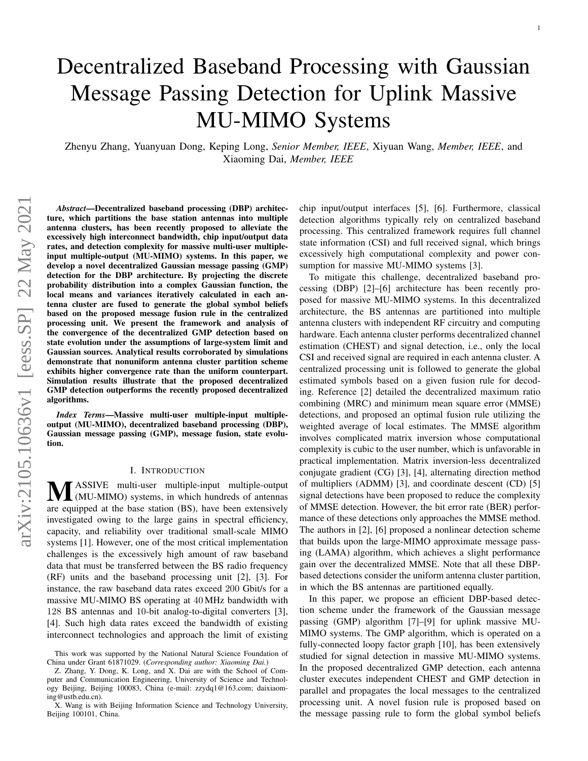# Decentralized Baseband Processing with Gaussian Message Passing Detection for Uplink Massive MU-MIMO Systems

Zhenyu Zhang, Yuanyuan Dong, Keping Long, *Senior Member, IEEE*, Xiyuan Wang, *Member, IEEE*, and Xiaoming Dai, *Member, IEEE*

*Abstract*—Decentralized baseband processing (DBP) architecture, which partitions the base station antennas into multiple antenna clusters, has been recently proposed to alleviate the excessively high interconnect bandwidth, chip input/output data rates, and detection complexity for massive multi-user multipleinput multiple-output (MU-MIMO) systems. In this paper, we develop a novel decentralized Gaussian message passing (GMP) detection for the DBP architecture. By projecting the discrete probability distribution into a complex Gaussian function, the local means and variances iteratively calculated in each antenna cluster are fused to generate the global symbol beliefs based on the proposed message fusion rule in the centralized processing unit. We present the framework and analysis of the convergence of the decentralized GMP detection based on state evolution under the assumptions of large-system limit and Gaussian sources. Analytical results corroborated by simulations demonstrate that nonuniform antenna cluster partition scheme exhibits higher convergence rate than the uniform counterpart. Simulation results illustrate that the proposed decentralized GMP detection outperforms the recently proposed decentralized algorithms.

*Index Terms*—Massive multi-user multiple-input multipleoutput (MU-MIMO), decentralized baseband processing (DBP), Gaussian message passing (GMP), message fusion, state evolution.

# I. INTRODUCTION

**MASSIVE** multi-user multiple-input multiple-output (MU-MIMO) systems, in which hundreds of antennas (MU-MIMO) systems, in which hundreds of antennas are equipped at the base station (BS), have been extensively investigated owing to the large gains in spectral efficiency, capacity, and reliability over traditional small-scale MIMO systems [\[1\]](#page-5-0). However, one of the most critical implementation challenges is the excessively high amount of raw baseband data that must be transferred between the BS radio frequency (RF) units and the baseband processing unit [\[2\]](#page-5-1), [\[3\]](#page-5-2). For instance, the raw baseband data rates exceed 200 Gbit/s for a massive MU-MIMO BS operating at 40 MHz bandwidth with 128 BS antennas and 10-bit analog-to-digital converters [\[3\]](#page-5-2), [\[4\]](#page-5-3). Such high data rates exceed the bandwidth of existing interconnect technologies and approach the limit of existing chip input/output interfaces [\[5\]](#page-5-4), [\[6\]](#page-5-5). Furthermore, classical detection algorithms typically rely on centralized baseband processing. This centralized framework requires full channel state information (CSI) and full received signal, which brings excessively high computational complexity and power consumption for massive MU-MIMO systems [\[3\]](#page-5-2).

To mitigate this challenge, decentralized baseband processing (DBP) [\[2\]](#page-5-1)–[\[6\]](#page-5-5) architecture has been recently proposed for massive MU-MIMO systems. In this decentralized architecture, the BS antennas are partitioned into multiple antenna clusters with independent RF circuitry and computing hardware. Each antenna cluster performs decentralized channel estimation (CHEST) and signal detection, i.e., only the local CSI and received signal are required in each antenna cluster. A centralized processing unit is followed to generate the global estimated symbols based on a given fusion rule for decoding. Reference [\[2\]](#page-5-1) detailed the decentralized maximum ratio combining (MRC) and minimum mean square error (MMSE) detections, and proposed an optimal fusion rule utilizing the weighted average of local estimates. The MMSE algorithm involves complicated matrix inversion whose computational complexity is cubic to the user number, which is unfavorable in practical implementation. Matrix inversion-less decentralized conjugate gradient (CG) [\[3\]](#page-5-2), [\[4\]](#page-5-3), alternating direction method of multipliers (ADMM) [\[3\]](#page-5-2), and coordinate descent (CD) [\[5\]](#page-5-4) signal detections have been proposed to reduce the complexity of MMSE detection. However, the bit error rate (BER) performance of these detections only approaches the MMSE method. The authors in [\[2\]](#page-5-1), [\[6\]](#page-5-5) proposed a nonlinear detection scheme that builds upon the large-MIMO approximate message passing (LAMA) algorithm, which achieves a slight performance gain over the decentralized MMSE. Note that all these DBPbased detections consider the uniform antenna cluster partition, in which the BS antennas are partitioned equally.

In this paper, we propose an efficient DBP-based detection scheme under the framework of the Gaussian message passing (GMP) algorithm [\[7\]](#page-5-6)–[\[9\]](#page-5-7) for uplink massive MU-MIMO systems. The GMP algorithm, which is operated on a fully-connected loopy factor graph [\[10\]](#page-5-8), has been extensively studied for signal detection in massive MU-MIMO systems. In the proposed decentralized GMP detection, each antenna cluster executes independent CHEST and GMP detection in parallel and propagates the local messages to the centralized processing unit. A novel fusion rule is proposed based on the message passing rule to form the global symbol beliefs

This work was supported by the National Natural Science Foundation of China under Grant 61871029. (*Corresponding author: Xiaoming Dai.*)

Z. Zhang, Y. Dong, K. Long, and X. Dai are with the School of Computer and Communication Engineering, University of Science and Technology Beijing, Beijing 100083, China (e-mail: zzydq1@163.com; daixiaoming@ustb.edu.cn).

X. Wang is with Beijing Information Science and Technology University, Beijing 100101, China.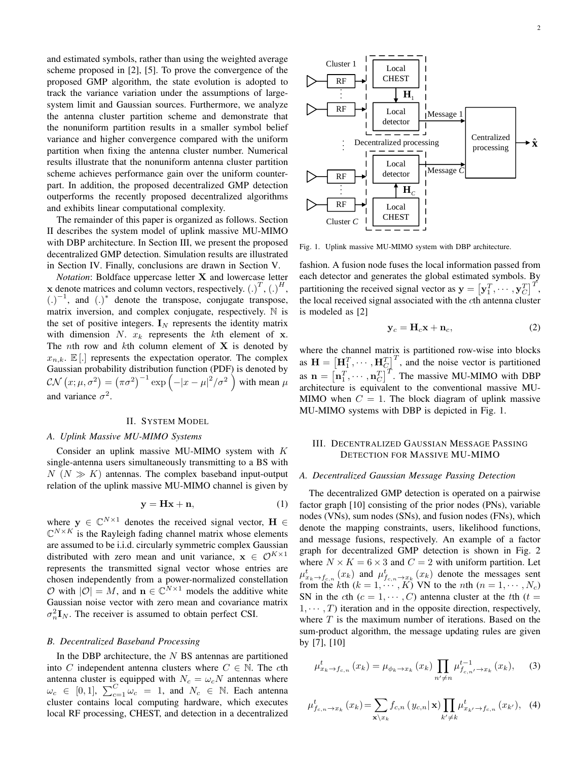and estimated symbols, rather than using the weighted average scheme proposed in [\[2\]](#page-5-1), [\[5\]](#page-5-4). To prove the convergence of the proposed GMP algorithm, the state evolution is adopted to track the variance variation under the assumptions of largesystem limit and Gaussian sources. Furthermore, we analyze the antenna cluster partition scheme and demonstrate that the nonuniform partition results in a smaller symbol belief variance and higher convergence compared with the uniform partition when fixing the antenna cluster number. Numerical results illustrate that the nonuniform antenna cluster partition scheme achieves performance gain over the uniform counterpart. In addition, the proposed decentralized GMP detection outperforms the recently proposed decentralized algorithms and exhibits linear computational complexity.

The remainder of this paper is organized as follows. Section [II](#page-1-0) describes the system model of uplink massive MU-MIMO with DBP architecture. In Section [III,](#page-1-1) we present the proposed decentralized GMP detection. Simulation results are illustrated in Section [IV.](#page-3-0) Finally, conclusions are drawn in Section [V.](#page-4-0)

*Notation*: Boldface uppercase letter X and lowercase letter x denote matrices and column vectors, respectively.  $(.)^T, (.)^H,$  $(.)^{-1}$ , and  $(.)^*$  denote the transpose, conjugate transpose, matrix inversion, and complex conjugate, respectively. N is the set of positive integers.  $I_N$  represents the identity matrix with dimension N.  $x_k$  represents the kth element of x. The *n*th row and *k*th column element of **X** is denoted by  $x_{n,k}$ .  $\mathbb{E}$ [.] represents the expectation operator. The complex Gaussian probability distribution function (PDF) is denoted by  $\mathcal{CN}(x;\mu,\sigma^2) = (\pi\sigma^2)^{-1} \exp\left(-|x-\mu|^2/\sigma^2\right)$  with mean  $\mu$ and variance  $\sigma^2$ .

### II. SYSTEM MODEL

#### <span id="page-1-0"></span>*A. Uplink Massive MU-MIMO Systems*

Consider an uplink massive MU-MIMO system with K single-antenna users simultaneously transmitting to a BS with  $N (N \gg K)$  antennas. The complex baseband input-output relation of the uplink massive MU-MIMO channel is given by

$$
y = Hx + n,\tag{1}
$$

where  $y \in \mathbb{C}^{N \times 1}$  denotes the received signal vector,  $H \in$  $\mathbb{C}^{N \times K}$  is the Rayleigh fading channel matrix whose elements are assumed to be i.i.d. circularly symmetric complex Gaussian distributed with zero mean and unit variance,  $x \in \mathcal{O}^{K \times 1}$ represents the transmitted signal vector whose entries are chosen independently from a power-normalized constellation  $\mathcal{O}$  with  $|\mathcal{O}| = M$ , and  $\mathbf{n} \in \mathbb{C}^{N \times 1}$  models the additive white Gaussian noise vector with zero mean and covariance matrix  $\sigma_n^2 \mathbf{I}_N$ . The receiver is assumed to obtain perfect CSI.

#### *B. Decentralized Baseband Processing*

In the DBP architecture, the  $N$  BS antennas are partitioned into C independent antenna clusters where  $C \in \mathbb{N}$ . The cth antenna cluster is equipped with  $N_c = \omega_c N$  antennas where  $\omega_c \in [0,1], \sum_{c=1}^C \omega_c = 1$ , and  $N_c \in \mathbb{N}$ . Each antenna cluster contains local computing hardware, which executes local RF processing, CHEST, and detection in a decentralized



<span id="page-1-2"></span>Fig. 1. Uplink massive MU-MIMO system with DBP architecture.

fashion. A fusion node fuses the local information passed from each detector and generates the global estimated symbols. By partitioning the received signal vector as  $\mathbf{y} = \begin{bmatrix} \mathbf{y}_1^T, \cdots, \mathbf{y}_C^T \end{bmatrix}^T$ , the local received signal associated with the cth antenna cluster is modeled as [\[2\]](#page-5-1)

$$
y_c = H_c x + n_c, \t\t(2)
$$

where the channel matrix is partitioned row-wise into blocks as  $\mathbf{H} = \left[\mathbf{H}_1^T, \cdots, \mathbf{H}_C^T\right]^T$ , and the noise vector is partitioned as  $\mathbf{n} = [\mathbf{n}_1^T, \cdots, \mathbf{n}_C^T]^T$ . The massive MU-MIMO with DBP architecture is equivalent to the conventional massive MU-MIMO when  $C = 1$ . The block diagram of uplink massive MU-MIMO systems with DBP is depicted in Fig. [1.](#page-1-2)

# <span id="page-1-1"></span>III. DECENTRALIZED GAUSSIAN MESSAGE PASSING DETECTION FOR MASSIVE MU-MIMO

## *A. Decentralized Gaussian Message Passing Detection*

The decentralized GMP detection is operated on a pairwise factor graph [\[10\]](#page-5-8) consisting of the prior nodes (PNs), variable nodes (VNs), sum nodes (SNs), and fusion nodes (FNs), which denote the mapping constraints, users, likelihood functions, and message fusions, respectively. An example of a factor graph for decentralized GMP detection is shown in Fig. [2](#page-2-0) where  $N \times K = 6 \times 3$  and  $C = 2$  with uniform partition. Let  $\mu_{x_k \to f_{c,n}}^t(x_k)$  and  $\mu_{f_{c,n} \to x_k}^t(x_k)$  denote the messages sent from the kth  $(k = 1, \dots, K)$  VN to the nth  $(n = 1, \dots, N_c)$ SN in the cth  $(c = 1, \dots, C)$  antenna cluster at the tth  $(t =$  $1, \dots, T$ ) iteration and in the opposite direction, respectively, where  $T$  is the maximum number of iterations. Based on the sum-product algorithm, the message updating rules are given by [\[7\]](#page-5-6), [\[10\]](#page-5-8)

<span id="page-1-4"></span>
$$
\mu_{x_k \to f_{c,n}}^t(x_k) = \mu_{\phi_k \to x_k}(x_k) \prod_{n' \neq n} \mu_{f_{c,n'} \to x_k}^{t-1}(x_k), \quad (3)
$$

<span id="page-1-3"></span>
$$
\mu_{f_{c,n}\to x_k}^t(x_k) = \sum_{\mathbf{x}\backslash x_k} f_{c,n}(y_{c,n}|\mathbf{x}) \prod_{k'\neq k} \mu_{x_{k'}\to f_{c,n}}^t(x_{k'}), \quad (4)
$$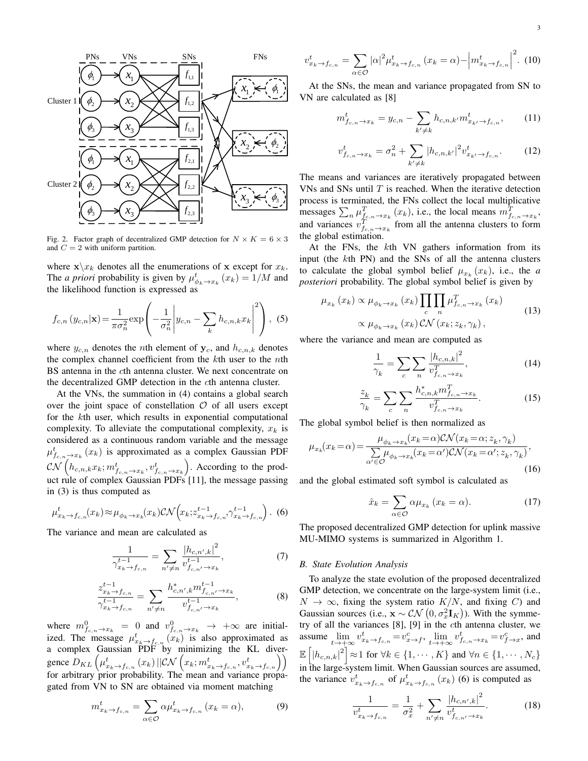

<span id="page-2-0"></span>Fig. 2. Factor graph of decentralized GMP detection for  $N \times K = 6 \times 3$ and  $C = 2$  with uniform partition.

where  $\mathbf{x}\backslash x_k$  denotes all the enumerations of x except for  $x_k$ . The *a priori* probability is given by  $\mu_{\phi_k \to x_k}^t(x_k) = 1/M$  and the likelihood function is expressed as

$$
f_{c,n}(y_{c,n}|\mathbf{x}) = \frac{1}{\pi \sigma_n^2} \exp\left(-\frac{1}{\sigma_n^2} \left| y_{c,n} - \sum_k h_{c,n,k} x_k \right|^2 \right), \tag{5}
$$

where  $y_{c,n}$  denotes the *n*th element of  $y_c$ , and  $h_{c,n,k}$  denotes the complex channel coefficient from the  $k$ th user to the nth BS antenna in the cth antenna cluster. We next concentrate on the decentralized GMP detection in the cth antenna cluster.

At the VNs, the summation in [\(4\)](#page-1-3) contains a global search over the joint space of constellation  $\mathcal O$  of all users except for the kth user, which results in exponential computational complexity. To alleviate the computational complexity,  $x_k$  is considered as a continuous random variable and the message  $\mu_{f_{c,n}\to x_k}^t(x_k)$  is approximated as a complex Gaussian PDF  $\mathcal{CN}\left(h_{c,n,k}x_k; m_{f_{c,n}\to x_k}^t, v_{f_{c,n}\to x_k}^t\right)$ . According to the product rule of complex Gaussian PDFs [\[11\]](#page-5-9), the message passing in [\(3\)](#page-1-4) is thus computed as

<span id="page-2-1"></span>
$$
\mu_{x_k \to f_{c,n}}^t(x_k) \approx \mu_{\phi_k \to x_k}(x_k) \mathcal{CN}\left(x_k; z_{x_k \to f_{c,n}}^{t-1}, \gamma_{x_k \to f_{c,n}}^{t-1}\right). \tag{6}
$$

The variance and mean are calculated as

<span id="page-2-2"></span>
$$
\frac{1}{\gamma_{x_k \to f_{c,n}}^{t-1}} = \sum_{n' \neq n} \frac{|h_{c,n',k}|^2}{v_{f_{c,n'} \to x_k}^t},\tag{7}
$$

<span id="page-2-3"></span>
$$
\frac{z_{x_k \to f_{c,n}}^{t-1}}{\gamma_{x_k \to f_{c,n}}^{t-1}} = \sum_{n' \neq n} \frac{h_{c,n',k}^* m_{f_{c,n'} \to x_k}^{t-1}}{v_{f_{c,n'} \to x_k}^{t-1}},
$$
(8)

where  $m_{f_{c,n}\to x_k}^0 = 0$  and  $v_{f_{c,n}\to x_k}^0 \to +\infty$  are initialized. The message  $\mu_{x_k \to f_{c,n}}^t(x_k)$  is also approximated as a complex Gaussian PDF by minimizing the KL divergence  $D_{KL}\left(\mu_{x_k \to f_{c,n}}^t(x_k) || \mathcal{CN}\left(x_k; m_{x_k \to f_{c,n}}^t, v_{x_k \to f_{c,n}}^t\right)\right)$ for arbitrary prior probability. The mean and variance propagated from VN to SN are obtained via moment matching

<span id="page-2-4"></span>
$$
m_{x_k \to f_{c,n}}^t = \sum_{\alpha \in \mathcal{O}} \alpha \mu_{x_k \to f_{c,n}}^t (x_k = \alpha), \tag{9}
$$

<span id="page-2-5"></span>
$$
v_{x_k \to f_{c,n}}^t = \sum_{\alpha \in \mathcal{O}} |\alpha|^2 \mu_{x_k \to f_{c,n}}^t (x_k = \alpha) - \left| m_{x_k \to f_{c,n}}^t \right|^2.
$$
 (10)

 $x_1 \leftrightarrow (x_2)$  At the SNs, the mean and variance propagated from SN to VN are calculated as [\[8\]](#page-5-10)

<span id="page-2-6"></span>
$$
m_{f_{c,n}\to x_k}^t = y_{c,n} - \sum_{k'\neq k} h_{c,n,k'} m_{x_{k'}\to f_{c,n}}^t,\qquad(11)
$$

<span id="page-2-7"></span>
$$
v_{f_{c,n}\to x_k}^t = \sigma_n^2 + \sum_{k'\neq k} |h_{c,n,k'}|^2 v_{x_{k'}\to f_{c,n}}^t.
$$
 (12)

 $x_3$   $\leftarrow$   $\varphi_3$  | process is terminated, the FNs collect the local multiplicative  $\widetilde{\varphi_3}$   $\longrightarrow$   $\widetilde{\chi_2}$   $\longleftarrow$   $\widetilde{\chi_3}$   $\longleftarrow$   $\widetilde{\chi_4}$   $\widetilde{\varphi_3}$  process is terminated, the FNs collect the local multiplicative messages  $\sum_n \mu_{f_{c,n}\to x_k}^T(x_k)$ , i.e., the local means  $m_{f_{c,n}\to x_k}^T$ . The means and variances are iteratively propagated between VNs and SNs until  $T$  is reached. When the iterative detection and variances  $v_{f_{c,n}\to x_k}^T$  from all the antenna clusters to form the global estimation.

> At the FNs, the  $k$ th VN gathers information from its input (the kth PN) and the SNs of all the antenna clusters to calculate the global symbol belief  $\mu_{x_k}(x_k)$ , i.e., the *a posteriori* probability. The global symbol belief is given by

<span id="page-2-8"></span>
$$
\mu_{x_k}(x_k) \propto \mu_{\phi_k \to x_k}(x_k) \prod_c \prod_n \mu_{f_{c,n} \to x_k}^T (x_k)
$$
\n
$$
\propto \mu_{\phi_k \to x_k}(x_k) \mathcal{CN}(x_k; z_k, \gamma_k),
$$
\n(13)

where the variance and mean are computed as

<span id="page-2-9"></span>
$$
\frac{1}{\gamma_k} = \sum_c \sum_n \frac{|h_{c,n,k}|^2}{v_{f_{c,n}\to x_k}^T},
$$
\n(14)

<span id="page-2-10"></span>
$$
\frac{z_k}{\gamma_k} = \sum_c \sum_n \frac{h_{c,n,k}^* m_{f_{c,n} \to x_k}^T}{v_{f_{c,n} \to x_k}^T}.
$$
 (15)

The global symbol belief is then normalized as

<span id="page-2-11"></span>
$$
\mu_{x_k}(x_k = \alpha) = \frac{\mu_{\phi_k \to x_k}(x_k = \alpha) \mathcal{CN}(x_k = \alpha; z_k, \gamma_k)}{\sum_{\alpha' \in \mathcal{O}} \mu_{\phi_k \to x_k}(x_k = \alpha') \mathcal{CN}(x_k = \alpha'; z_k, \gamma_k)},\tag{16}
$$

and the global estimated soft symbol is calculated as

<span id="page-2-12"></span>
$$
\hat{x}_k = \sum_{\alpha \in \mathcal{O}} \alpha \mu_{x_k} \left( x_k = \alpha \right). \tag{17}
$$

The proposed decentralized GMP detection for uplink massive MU-MIMO systems is summarized in Algorithm [1.](#page-3-1)

#### *B. State Evolution Analysis*

To analyze the state evolution of the proposed decentralized GMP detection, we concentrate on the large-system limit (i.e.,  $N \to \infty$ , fixing the system ratio  $K/N$ , and fixing C) and Gaussian sources (i.e.,  $\mathbf{x} \sim \mathcal{CN}\left(0, \sigma_x^2 \mathbf{I}_K\right)$ ). With the symmetry of all the variances [\[8\]](#page-5-10), [\[9\]](#page-5-7) in the cth antenna cluster, we assume  $\lim_{t\to+\infty} v_{x_k\to f_{c,n}}^t = v_{x\to f}^c$ ,  $\lim_{t\to+\infty} v_{f_{c,n}\to x_k}^t = v_{f\to x}^c$ , and  $\mathbb{E}\left[\left|h_{c,n,k}\right|^2\right] \approx 1 \text{ for } \forall k \in \{1, \cdots, K\} \text{ and } \forall n \in \{1, \cdots, N_c\}$ in the large-system limit. When Gaussian sources are assumed, the variance  $v_{x_k \to f_{c,n}}^t$  of  $\mu_{x_k \to f_{c,n}}^t(x_k)$  [\(6\)](#page-2-1) is computed as

<span id="page-2-13"></span>
$$
\frac{1}{v_{x_k \to f_{c,n}}^t} = \frac{1}{\sigma_x^2} + \sum_{n' \neq n} \frac{|h_{c,n',k}|^2}{v_{f_{c,n'} \to x_k}^t}.
$$
 (18)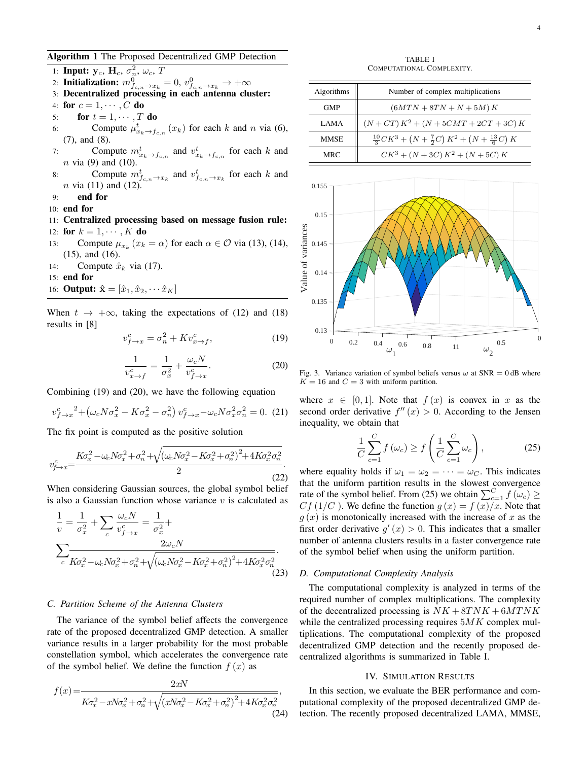<span id="page-3-1"></span>Algorithm 1 The Proposed Decentralized GMP Detection

1: Input:  $y_c$ ,  $H_c$ ,  $\sigma_n^2$ ,  $\omega_c$ ,  $T$ 2: Initialization:  $m_{f_{c,n}\to x_k}^0 = 0$ ,  $v_{f_{c,n}\to x_k}^0 \to +\infty$ 

- 3: Decentralized processing in each antenna cluster:
- 4: for  $c = 1, \cdots, C$  do
- 5: for  $t = 1, \cdots, T$  do
- 6: Compute  $\mu_{x_k \to f_{c,n}}^t(x_k)$  for each k and n via [\(6\)](#page-2-1), [\(7\)](#page-2-2), and [\(8\)](#page-2-3).
- 7: Compute  $m_{x_k \to f_{c,n}}^t$  and  $v_{x_k \to f_{c,n}}^t$  for each k and  $n$  via [\(9\)](#page-2-4) and [\(10\)](#page-2-5).
- 8: Compute  $m_{f_{c,n}\to x_k}^t$  and  $v_{f_{c,n}\to x_k}^t$  for each k and  $n$  via [\(11\)](#page-2-6) and [\(12\)](#page-2-7).
- 9: end for
- 10: end for
- 11: Centralized processing based on message fusion rule: 12: for  $k = 1, \dots, K$  do
- 13: Compute  $\mu_{x_k}$   $(x_k = \alpha)$  for each  $\alpha \in \mathcal{O}$  via [\(13\)](#page-2-8), [\(14\)](#page-2-9), [\(15\)](#page-2-10), and [\(16\)](#page-2-11).
- 14: Compute  $\hat{x}_k$  via [\(17\)](#page-2-12).
- 15: end for
- 16: **Output:**  $\hat{\mathbf{x}} = [\hat{x}_1, \hat{x}_2, \cdots \hat{x}_K]$

When  $t \to +\infty$ , taking the expectations of [\(12\)](#page-2-7) and [\(18\)](#page-2-13) results in [\[8\]](#page-5-10)

<span id="page-3-2"></span>
$$
v_{f \to x}^c = \sigma_n^2 + K v_{x \to f}^c,\tag{19}
$$

<span id="page-3-3"></span>
$$
\frac{1}{v_{x \to f}^c} = \frac{1}{\sigma_x^2} + \frac{\omega_c N}{v_{f \to x}^c}.
$$
 (20)

Combining [\(19\)](#page-3-2) and [\(20\)](#page-3-3), we have the following equation

$$
v_{f \to x}^c{}^2 + \left(\omega_c N \sigma_x^2 - K \sigma_x^2 - \sigma_n^2\right) v_{f \to x}^c - \omega_c N \sigma_x^2 \sigma_n^2 = 0. \tag{21}
$$

The fix point is computed as the positive solution

$$
v_{f \to x}^c = \frac{K\sigma_x^2 - \omega_c N\sigma_x^2 + \sigma_n^2 + \sqrt{(\omega_c N\sigma_x^2 - K\sigma_x^2 + \sigma_n^2)^2 + 4K\sigma_x^2\sigma_n^2}}{2}.
$$
\n(22)

When considering Gaussian sources, the global symbol belief is also a Gaussian function whose variance  $v$  is calculated as

$$
\frac{1}{v} = \frac{1}{\sigma_x^2} + \sum_c \frac{\omega_c N}{v_{f \to x}^c} = \frac{1}{\sigma_x^2} + \sum_c \frac{2\omega_c N}{K\sigma_x^2 - \omega_c N\sigma_x^2 + \sigma_n^2 + \sqrt{(\omega_c N\sigma_x^2 - K\sigma_x^2 + \sigma_n^2)^2 + 4K\sigma_x^2\sigma_n^2}}.
$$
\n(23)

# *C. Partition Scheme of the Antenna Clusters*

The variance of the symbol belief affects the convergence rate of the proposed decentralized GMP detection. A smaller variance results in a larger probability for the most probable constellation symbol, which accelerates the convergence rate of the symbol belief. We define the function  $f(x)$  as

$$
f(x) = \frac{2xN}{K\sigma_x^2 - xN\sigma_x^2 + \sigma_n^2 + \sqrt{(xN\sigma_x^2 - K\sigma_x^2 + \sigma_n^2)^2 + 4K\sigma_x^2\sigma_n^2}},
$$
\n(24)

TABLE I COMPUTATIONAL COMPLEXITY.

<span id="page-3-5"></span>

| Algorithms  | Number of complex multiplications                                   |
|-------------|---------------------------------------------------------------------|
| <b>GMP</b>  | $(6MTN + 8TN + N + 5M)K$                                            |
| LAMA        | $(N+CT) K^2 + (N+5CMT+2CT+3C) K$                                    |
| <b>MMSE</b> | $\frac{10}{3}CK^3 + (N + \frac{7}{2}C) K^2 + (N + \frac{13}{6}C) K$ |
| <b>MRC</b>  | $CK^{3} + (N + 3C) K^{2} + (N + 5C) K$                              |



<span id="page-3-6"></span>Fig. 3. Variance variation of symbol beliefs versus  $\omega$  at SNR = 0 dB where  $K = 16$  and  $C = 3$  with uniform partition.

where  $x \in [0, 1]$ . Note that  $f(x)$  is convex in x as the second order derivative  $f''(x) > 0$ . According to the Jensen inequality, we obtain that

<span id="page-3-4"></span>
$$
\frac{1}{C} \sum_{c=1}^{C} f(\omega_c) \ge f\left(\frac{1}{C} \sum_{c=1}^{C} \omega_c\right),\tag{25}
$$

where equality holds if  $\omega_1 = \omega_2 = \cdots = \omega_C$ . This indicates that the uniform partition results in the slowest convergence rate of the symbol belief. From [\(25\)](#page-3-4) we obtain  $\sum_{c=1}^{C} f(\omega_c) \geq$  $Cf(1/C)$ . We define the function  $g(x) = f(x)/x$ . Note that  $g(x)$  is monotonically increased with the increase of x as the first order derivative  $g'(x) > 0$ . This indicates that a smaller number of antenna clusters results in a faster convergence rate of the symbol belief when using the uniform partition.

## *D. Computational Complexity Analysis*

The computational complexity is analyzed in terms of the required number of complex multiplications. The complexity of the decentralized processing is  $NK + 8TNK + 6MTNK$ while the centralized processing requires  $5MK$  complex multiplications. The computational complexity of the proposed decentralized GMP detection and the recently proposed decentralized algorithms is summarized in Table [I.](#page-3-5)

## IV. SIMULATION RESULTS

<span id="page-3-0"></span>In this section, we evaluate the BER performance and computational complexity of the proposed decentralized GMP detection. The recently proposed decentralized LAMA, MMSE,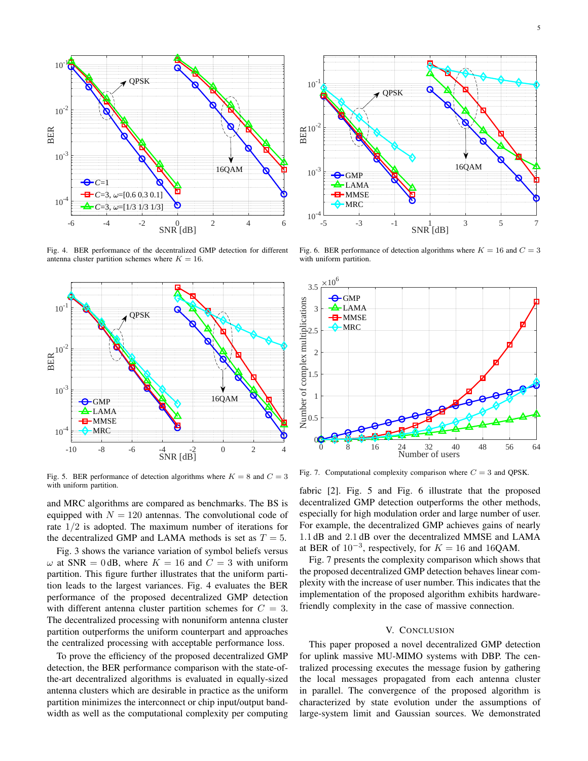

<span id="page-4-1"></span>Fig. 4. BER performance of the decentralized GMP detection for different antenna cluster partition schemes where  $K = 16$ .



<span id="page-4-2"></span>Fig. 5. BER performance of detection algorithms where  $K = 8$  and  $C = 3$ with uniform partition.

and MRC algorithms are compared as benchmarks. The BS is equipped with  $N = 120$  antennas. The convolutional code of rate  $1/2$  is adopted. The maximum number of iterations for the decentralized GMP and LAMA methods is set as  $T = 5$ .

Fig. [3](#page-3-6) shows the variance variation of symbol beliefs versus  $\omega$  at SNR = 0 dB, where  $K = 16$  and  $C = 3$  with uniform partition. This figure further illustrates that the uniform partition leads to the largest variances. Fig. [4](#page-4-1) evaluates the BER performance of the proposed decentralized GMP detection with different antenna cluster partition schemes for  $C = 3$ . The decentralized processing with nonuniform antenna cluster partition outperforms the uniform counterpart and approaches the centralized processing with acceptable performance loss.

To prove the efficiency of the proposed decentralized GMP detection, the BER performance comparison with the state-ofthe-art decentralized algorithms is evaluated in equally-sized antenna clusters which are desirable in practice as the uniform partition minimizes the interconnect or chip input/output bandwidth as well as the computational complexity per computing



<span id="page-4-3"></span>Fig. 6. BER performance of detection algorithms where  $K = 16$  and  $C = 3$ with uniform partition.



<span id="page-4-4"></span>Fig. 7. Computational complexity comparison where  $C = 3$  and QPSK.

fabric [\[2\]](#page-5-1). Fig. [5](#page-4-2) and Fig. [6](#page-4-3) illustrate that the proposed decentralized GMP detection outperforms the other methods, especially for high modulation order and large number of user. For example, the decentralized GMP achieves gains of nearly 1.1 dB and 2.1 dB over the decentralized MMSE and LAMA at BER of  $10^{-3}$ , respectively, for  $K = 16$  and 16QAM.

Fig. [7](#page-4-4) presents the complexity comparison which shows that the proposed decentralized GMP detection behaves linear complexity with the increase of user number. This indicates that the implementation of the proposed algorithm exhibits hardwarefriendly complexity in the case of massive connection.

#### V. CONCLUSION

<span id="page-4-0"></span>This paper proposed a novel decentralized GMP detection for uplink massive MU-MIMO systems with DBP. The centralized processing executes the message fusion by gathering the local messages propagated from each antenna cluster in parallel. The convergence of the proposed algorithm is characterized by state evolution under the assumptions of large-system limit and Gaussian sources. We demonstrated